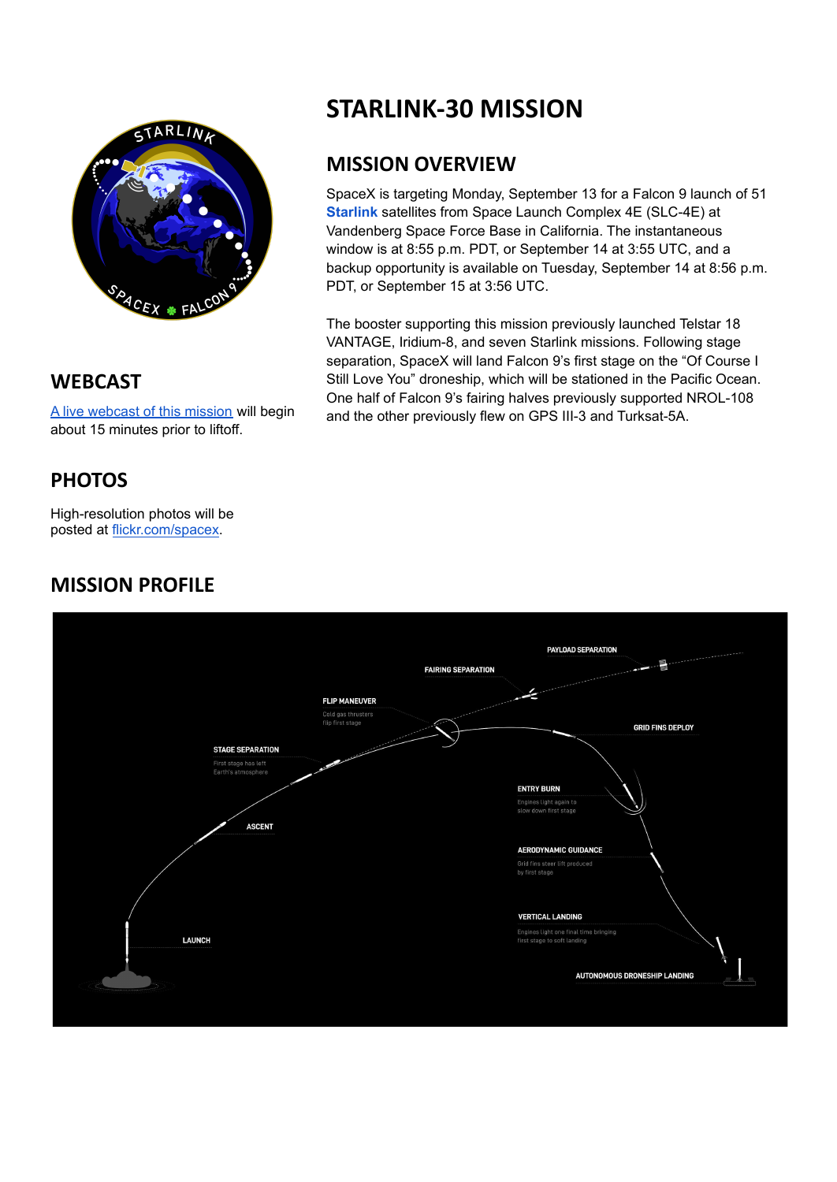

**WEBCAST**

A live [webcast](https://www.youtube.com/watch?v=4372QYiPZB4) of this mission will begin about 15 minutes prior to liftoff.

## **PHOTOS**

High-resolution photos will be posted at [flickr.com/spacex](https://www.flickr.com/spacex/).

## **MISSION PROFILE**



### **MISSION OVERVIEW**

SpaceX is targeting Monday, September 13 for a Falcon 9 launch of 51 **[Starlink](https://www.starlink.com/)** satellites from Space Launch Complex 4E (SLC-4E) at Vandenberg Space Force Base in California. The instantaneous window is at 8:55 p.m. PDT, or September 14 at 3:55 UTC, and a backup opportunity is available on Tuesday, September 14 at 8:56 p.m. PDT, or September 15 at 3:56 UTC.

The booster supporting this mission previously launched Telstar 18 VANTAGE, Iridium-8, and seven Starlink missions. Following stage separation, SpaceX will land Falcon 9's first stage on the "Of Course I Still Love You" droneship, which will be stationed in the Pacific Ocean. One half of Falcon 9's fairing halves previously supported NROL-108 and the other previously flew on GPS III-3 and Turksat-5A.